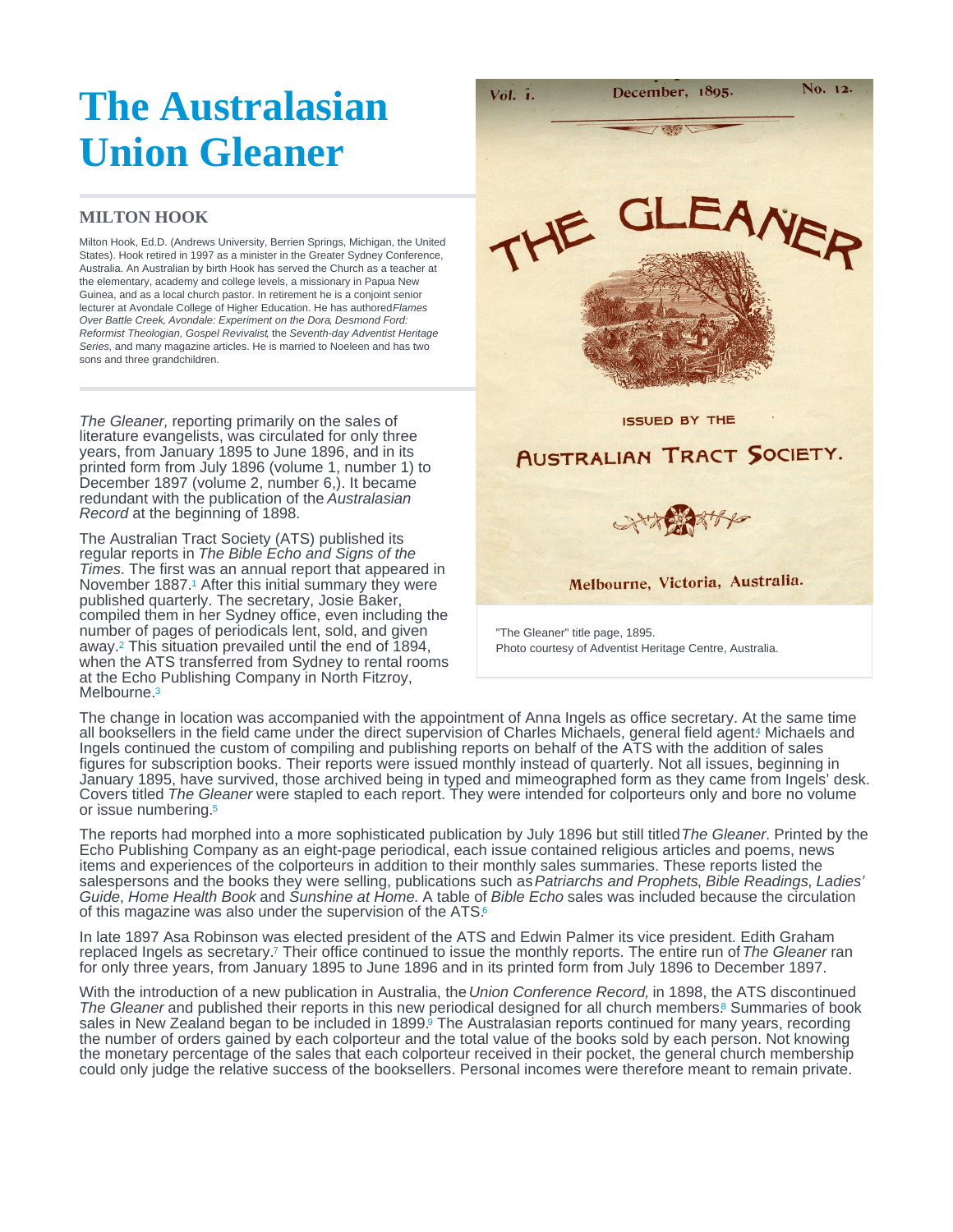## <span id="page-0-0"></span>The Australasian Union Gleaner

## MILTON HOOK

Milton Hook, Ed.D. (Andrews University, Berrien Springs, Michigan, the United States). Hook retired in 1997 as a minister in the Greater Sydney Conference, Australia. An Australian by birth Hook has served the Church as a teacher at the elementary, academy and college levels, a missionary in Papua New Guinea, and as a local church pastor. In retirement he is a conjoint senior lecturer at Avondale College of Higher Education. He has authored Flames Over Battle Creek, Avondale: Experiment on the Dora, Desmond Ford: Reformist Theologian, Gospel Revivalist, the Seventh-day Adventist Heritage Series, and many magazine articles. He is married to Noeleen and has two sons and three grandchildren.

The Gleaner, reporting primarily on the sales of literature evangelists, was circulated for only three years, from January 1895 to June 1896, and in its printed form from July 1896 (volume 1, number 1) to December 1897 (volume 2, number 6,). It became redundant with the publication of the Australasian Record at the beginning of 1898.

The Australian Tract Society (ATS) published its regular reports in The Bible Echo and Signs of the Times. The first was an annual report that appeared in November 1887[.](#page-1-0)<sup>1</sup> After this initial summary they were published quarterly. The secretary, Josie Baker, compiled them in her Sydney office, even including the number of pages of periodicals lent, sold, and given away.<sup>2</sup> This situation prevailed until the end of 1894, when the ATS transferred from Sydney to rental rooms at the Echo Publishing Company in North Fitzroy, Melbourne.<sup>[3](#page-1-0)</sup>

"The Gleaner" title page, 1895. Photo courtesy of Adventist Heritage Centre, Australia.

The change in location was accompanied with the appointment of Anna Ingels as office secretary. At the same time all booksellers in the field came under the direct supervision of Charles Michaels, general field agent[.](#page-1-0) Michaels and Ingels continued the custom of compiling and publishing reports on behalf of the ATS with the addition of sales figures for subscription books. Their reports were issued monthly instead of quarterly. Not all issues, beginning in January 1895, have survived, those archived being in typed and mimeographed form as they came from Ingels' desk. Covers titled The Gleaner were stapled to each report. They were intended for colporteurs only and bore no volume or issue numbering. [5](#page-1-0)

The reports had morphed into a more sophisticated publication by July 1896 but still titled The Gleaner. Printed by the Echo Publishing Company as an eight-page periodical, each issue contained religious articles and poems, news items and experiences of the colporteurs in addition to their monthly sales summaries. These reports listed the salespersons and the books they were selling, publications such as Patriarchs and Prophets, Bible Readings, Ladies' Guide, Home Health Book and Sunshine at Home. A table of Bible Echo sales was included because the circulation of this magazine was also under the supervision of the ATS.<sup>[6](#page-1-0)</sup>

In late 1897 Asa Robinson was elected president of the ATS and Edwin Palmer its vice president. Edith Graham replaced Ingels as secretary[.](#page-1-0) Their office continued to issue the monthly reports. The entire run of The Gleaner ran 7 for only three years, from January 1895 to June 1896 and in its printed form from July 1896 to December 1897.

With the introduction of a new publication in Australia, the Union Conference Record, in 1898, the ATS discontinued The Gleaner and published their reports in this new periodical designed for all church members.<sup>8</sup> Summaries of book sales in New Zealand began to be included in 1899[.](#page-1-0)<sup>6</sup> The Australasian reports continued for many years, recording the number of orders gained by each colporteur and the total value of the books sold by each person. Not knowing the monetary percentage of the sales that each colporteur received in their pocket, the general church membership could only judge the relative success of the booksellers. Personal incomes were therefore meant to remain private.